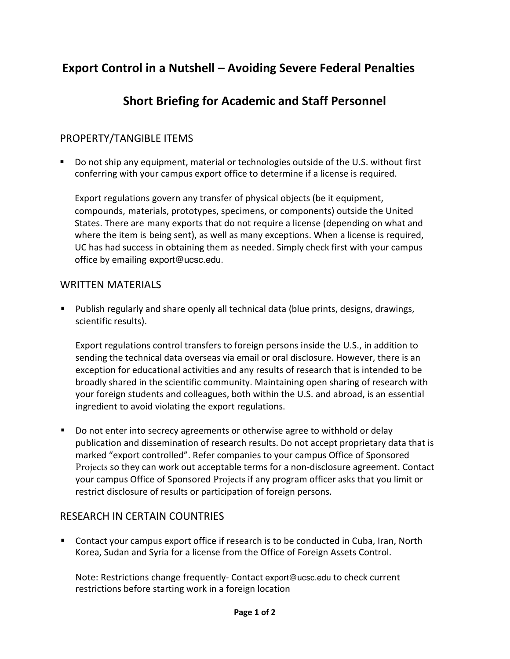# **Export Control in a Nutshell – Avoiding Severe Federal Penalties**

# **Short Briefing for Academic and Staff Personnel**

# PROPERTY/TANGIBLE ITEMS

 Do not ship any equipment, material or technologies outside of the U.S. without first conferring with your campus export office to determine if a license is required.

Export regulations govern any transfer of physical objects (be it equipment, compounds, materials, prototypes, specimens, or components) outside the United States. There are many exports that do not require a license (depending on what and where the item is being sent), as well as many exceptions. When a license is required, UC has had success in obtaining them as needed. Simply check first with your campus office [by emailing](mailto:exportcontrol@ucsf.edu) export@ucsc.edu.

### WRITTEN MATERIALS

**Publish regularly and share openly all technical data (blue prints, designs, drawings,** scientific results).

Export regulations control transfers to foreign persons inside the U.S., in addition to sending the technical data overseas via email or oral disclosure. However, there is an exception for educational activities and any results of research that is intended to be broadly shared in the scientific community. Maintaining open sharing of research with your foreign students and colleagues, both within the U.S. and abroad, is an essential ingredient to avoid violating the export regulations.

 Do not enter into secrecy agreements or otherwise agree to withhold or delay publication and dissemination of research results. Do not accept proprietary data that is marked "export controlled". Refer companies to your campus Office of Sponsored Projects so they can work out acceptable terms for a non-disclosure agreement. Contact your campus Office of Sponsored Projects if any program officer asks that you limit or restrict disclosure of results or participation of foreign persons.

### RESEARCH IN CERTAIN COUNTRIES

 Contact your campus export office if research is to be conducted in Cuba, Iran, North Korea, Sudan and Syria for a license from the Office of Foreign Assets Control.

Note: Restrictions change frequently- Contact export@ucsc.edu to check current restrictions before starting work in a foreign location